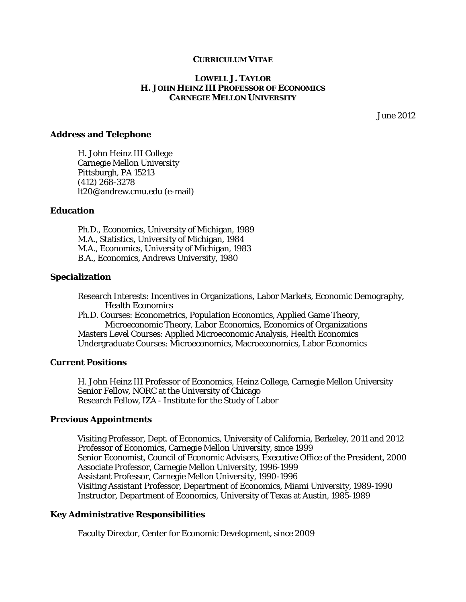## **CURRICULUM VITAE**

#### **LOWELL J. TAYLOR H. JOHN HEINZ III PROFESSOR OF ECONOMICS CARNEGIE MELLON UNIVERSITY**

June 2012

#### **Address and Telephone**

H. John Heinz III College Carnegie Mellon University Pittsburgh, PA 15213 (412) 268-3278 lt20@andrew.cmu.edu (e-mail)

## **Education**

Ph.D., Economics, University of Michigan, 1989 M.A., Statistics, University of Michigan, 1984 M.A., Economics, University of Michigan, 1983 B.A., Economics, Andrews University, 1980

## **Specialization**

Research Interests: Incentives in Organizations, Labor Markets, Economic Demography, Health Economics

Ph.D. Courses: Econometrics, Population Economics, Applied Game Theory, Microeconomic Theory, Labor Economics, Economics of Organizations Masters Level Courses: Applied Microeconomic Analysis, Health Economics Undergraduate Courses: Microeconomics, Macroeconomics, Labor Economics

## **Current Positions**

H. John Heinz III Professor of Economics, Heinz College, Carnegie Mellon University Senior Fellow, NORC at the University of Chicago Research Fellow, IZA - Institute for the Study of Labor

#### **Previous Appointments**

Visiting Professor, Dept. of Economics, University of California, Berkeley, 2011 and 2012 Professor of Economics, Carnegie Mellon University, since 1999 Senior Economist, Council of Economic Advisers, Executive Office of the President, 2000 Associate Professor, Carnegie Mellon University, 1996-1999 Assistant Professor, Carnegie Mellon University, 1990-1996 Visiting Assistant Professor, Department of Economics, Miami University, 1989-1990 Instructor, Department of Economics, University of Texas at Austin, 1985-1989

# **Key Administrative Responsibilities**

Faculty Director, Center for Economic Development, since 2009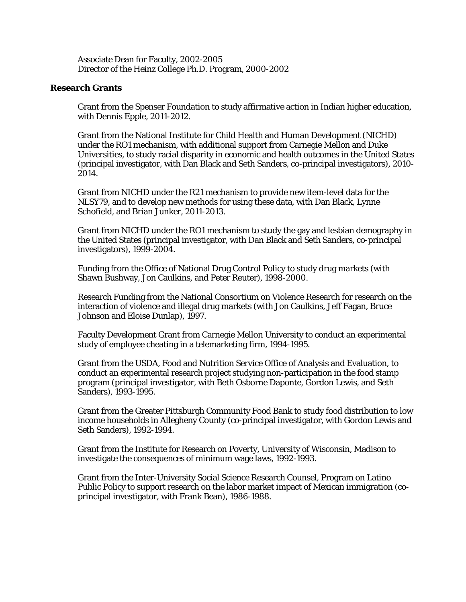Associate Dean for Faculty, 2002-2005 Director of the Heinz College Ph.D. Program, 2000-2002

# **Research Grants**

 Grant from the Spenser Foundation to study affirmative action in Indian higher education, with Dennis Epple, 2011-2012.

Grant from the National Institute for Child Health and Human Development (NICHD) under the RO1 mechanism, with additional support from Carnegie Mellon and Duke Universities, to study racial disparity in economic and health outcomes in the United States (principal investigator, with Dan Black and Seth Sanders, co-principal investigators), 2010- 2014.

 Grant from NICHD under the R21 mechanism to provide new item-level data for the NLSY79, and to develop new methods for using these data, with Dan Black, Lynne Schofield, and Brian Junker, 2011-2013.

Grant from NICHD under the RO1 mechanism to study the gay and lesbian demography in the United States (principal investigator, with Dan Black and Seth Sanders, co-principal investigators), 1999-2004.

Funding from the Office of National Drug Control Policy to study drug markets (with Shawn Bushway, Jon Caulkins, and Peter Reuter), 1998-2000.

Research Funding from the National Consortium on Violence Research for research on the interaction of violence and illegal drug markets (with Jon Caulkins, Jeff Fagan, Bruce Johnson and Eloise Dunlap), 1997.

Faculty Development Grant from Carnegie Mellon University to conduct an experimental study of employee cheating in a telemarketing firm, 1994-1995.

Grant from the USDA, Food and Nutrition Service Office of Analysis and Evaluation, to conduct an experimental research project studying non-participation in the food stamp program (principal investigator, with Beth Osborne Daponte, Gordon Lewis, and Seth Sanders), 1993-1995.

Grant from the Greater Pittsburgh Community Food Bank to study food distribution to low income households in Allegheny County (co-principal investigator, with Gordon Lewis and Seth Sanders), 1992-1994.

Grant from the Institute for Research on Poverty, University of Wisconsin, Madison to investigate the consequences of minimum wage laws, 1992-1993.

Grant from the Inter-University Social Science Research Counsel, Program on Latino Public Policy to support research on the labor market impact of Mexican immigration (coprincipal investigator, with Frank Bean), 1986-1988.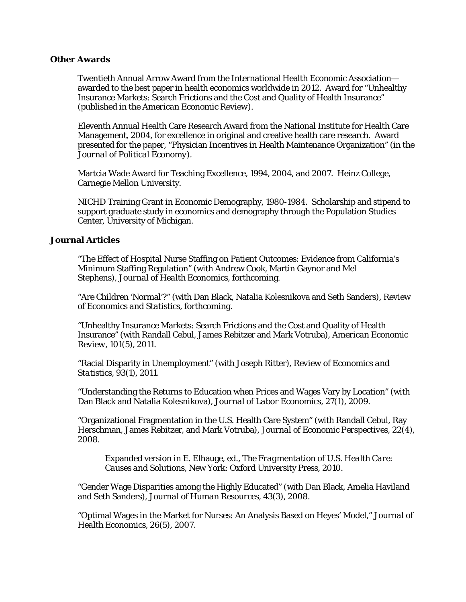## **Other Awards**

 Twentieth Annual Arrow Award from the International Health Economic Association awarded to the best paper in health economics worldwide in 2012. Award for "Unhealthy Insurance Markets: Search Frictions and the Cost and Quality of Health Insurance" (published in the *American Economic Review*).

 Eleventh Annual Health Care Research Award from the National Institute for Health Care Management, 2004, for excellence in original and creative health care research. Award presented for the paper, "Physician Incentives in Health Maintenance Organization" (in the *Journal of Political Economy*).

Martcia Wade Award for Teaching Excellence, 1994, 2004, and 2007. Heinz College, Carnegie Mellon University.

NICHD Training Grant in Economic Demography, 1980-1984. Scholarship and stipend to support graduate study in economics and demography through the Population Studies Center, University of Michigan.

## **Journal Articles**

 "The Effect of Hospital Nurse Staffing on Patient Outcomes: Evidence from California's Minimum Staffing Regulation" (with Andrew Cook, Martin Gaynor and Mel Stephens), *Journal of Health Economics,* forthcoming.

"Are Children 'Normal'?" (with Dan Black, Natalia Kolesnikova and Seth Sanders), *Review of Economics and Statistics,* forthcoming.

"Unhealthy Insurance Markets: Search Frictions and the Cost and Quality of Health Insurance" (with Randall Cebul, James Rebitzer and Mark Votruba), *American Economic Review,* 101(5), 2011.

"Racial Disparity in Unemployment" (with Joseph Ritter), *Review of Economics and Statistics,* 93(1), 2011.

"Understanding the Returns to Education when Prices and Wages Vary by Location" (with Dan Black and Natalia Kolesnikova), *Journal of Labor Economics,* 27(1), 2009.

"Organizational Fragmentation in the U.S. Health Care System" (with Randall Cebul, Ray Herschman, James Rebitzer, and Mark Votruba), *Journal of Economic Perspectives,* 22(4), 2008.

 Expanded version in E. Elhauge, ed., *The Fragmentation of U.S. Health Care: Causes and Solutions*, New York: Oxford University Press, 2010.

"Gender Wage Disparities among the Highly Educated" (with Dan Black, Amelia Haviland and Seth Sanders), *Journal of Human Resources,* 43(3), 2008.

"Optimal Wages in the Market for Nurses: An Analysis Based on Heyes' Model," *Journal of Health Economics,* 26(5), 2007.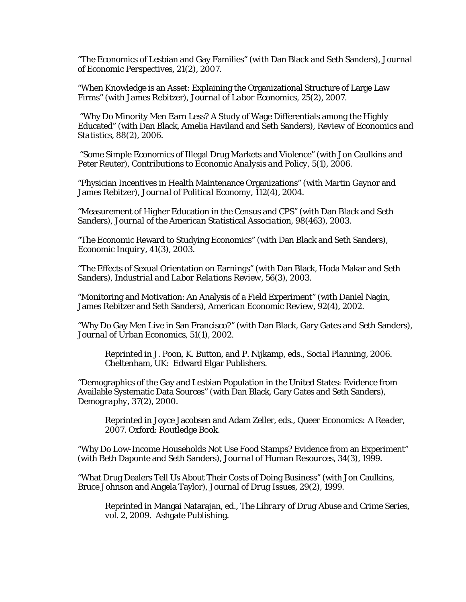"The Economics of Lesbian and Gay Families" (with Dan Black and Seth Sanders), *Journal of Economic Perspectives,* 21(2), 2007.

"When Knowledge is an Asset: Explaining the Organizational Structure of Large Law Firms" (with James Rebitzer), *Journal of Labor Economics,* 25(2), 2007.

 "Why Do Minority Men Earn Less? A Study of Wage Differentials among the Highly Educated" (with Dan Black, Amelia Haviland and Seth Sanders), *Review of Economics and Statistics,* 88(2), 2006.

 "Some Simple Economics of Illegal Drug Markets and Violence" (with Jon Caulkins and Peter Reuter), *Contributions to Economic Analysis and Policy*, 5(1), 2006.

"Physician Incentives in Health Maintenance Organizations" (with Martin Gaynor and James Rebitzer), *Journal of Political Economy,* 112(4), 2004*.* 

"Measurement of Higher Education in the Census and CPS" (with Dan Black and Seth Sanders), *Journal of the American Statistical Association,* 98(463), 2003.

"The Economic Reward to Studying Economics" (with Dan Black and Seth Sanders), *Economic Inquiry,* 41(3), 2003.

"The Effects of Sexual Orientation on Earnings" (with Dan Black, Hoda Makar and Seth Sanders), *Industrial and Labor Relations Review,* 56(3), 2003*.* 

"Monitoring and Motivation: An Analysis of a Field Experiment" (with Daniel Nagin, James Rebitzer and Seth Sanders), *American Economic Review,* 92(4), 2002.

 "Why Do Gay Men Live in San Francisco?" (with Dan Black, Gary Gates and Seth Sanders), *Journal of Urban Economics,* 51(1), 2002*.*

 Reprinted in J. Poon, K. Button, and P. Nijkamp, eds., *Social Planning,* 2006. Cheltenham, UK: Edward Elgar Publishers.

"Demographics of the Gay and Lesbian Population in the United States: Evidence from Available Systematic Data Sources" (with Dan Black, Gary Gates and Seth Sanders), *Demography,* 37(2), 2000.

 Reprinted in Joyce Jacobsen and Adam Zeller, eds., *Queer Economics: A Reader,* 2007. Oxford: Routledge Book.

"Why Do Low-Income Households *Not* Use Food Stamps? Evidence from an Experiment" (with Beth Daponte and Seth Sanders), *Journal of Human Resources,* 34(3), 1999.

"What Drug Dealers Tell Us About Their Costs of Doing Business" (with Jon Caulkins, Bruce Johnson and Angela Taylor), *Journal of Drug Issues,* 29(2), 1999.

 Reprinted in Mangai Natarajan, ed., *The Library of Drug Abuse and Crime Series, vol. 2*, 2009. Ashgate Publishing.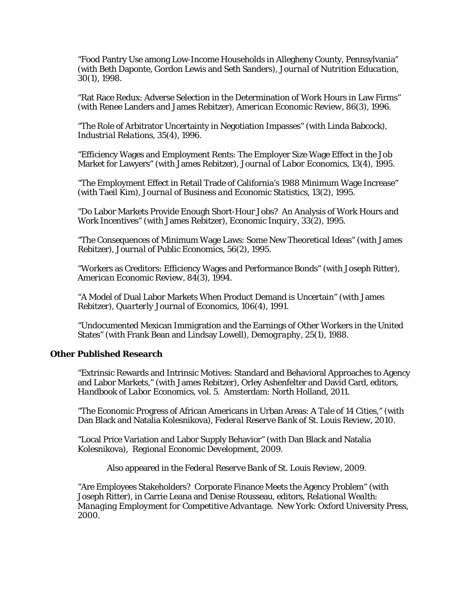"Food Pantry Use among Low-Income Households in Allegheny County, Pennsylvania" (with Beth Daponte, Gordon Lewis and Seth Sanders), *Journal of Nutrition Education*, 30(1), 1998.

"Rat Race Redux: Adverse Selection in the Determination of Work Hours in Law Firms" (with Renee Landers and James Rebitzer), *American Economic Review*, 86(3), 1996.

"The Role of Arbitrator Uncertainty in Negotiation Impasses" (with Linda Babcock), *Industrial Relations*, 35(4), 1996.

"Efficiency Wages and Employment Rents: The Employer Size Wage Effect in the Job Market for Lawyers" (with James Rebitzer), *Journal of Labor Economics*, 13(4), 1995.

"The Employment Effect in Retail Trade of California's 1988 Minimum Wage Increase" (with Taeil Kim), *Journal of Business and Economic Statistics*, 13(2), 1995.

"Do Labor Markets Provide Enough Short-Hour Jobs? An Analysis of Work Hours and Work Incentives" (with James Rebitzer), *Economic Inquiry*, 33(2), 1995.

"The Consequences of Minimum Wage Laws: Some New Theoretical Ideas" (with James Rebitzer), *Journal of Public Economics*, 56(2), 1995.

"Workers as Creditors: Efficiency Wages and Performance Bonds" (with Joseph Ritter), *American Economic Review*, 84(3), 1994.

"A Model of Dual Labor Markets When Product Demand is Uncertain" (with James Rebitzer), *Quarterly Journal of Economics*, 106(4), 1991.

"Undocumented Mexican Immigration and the Earnings of Other Workers in the United States" (with Frank Bean and Lindsay Lowell), *Demography*, 25(1), 1988.

# **Other Published Research**

 "Extrinsic Rewards and Intrinsic Motives: Standard and Behavioral Approaches to Agency and Labor Markets," (with James Rebitzer), Orley Ashenfelter and David Card, editors, *Handbook of Labor Economics,* vol. 5*.* Amsterdam: North Holland, 2011.

 "The Economic Progress of African Americans in Urban Areas: A Tale of 14 Cities," (with Dan Black and Natalia Kolesnikova), *Federal Reserve Bank of St. Louis Review,* 2010.

 "Local Price Variation and Labor Supply Behavior" (with Dan Black and Natalia Kolesnikova), *Regional Economic Development*, 2009.

Also appeared in the *Federal Reserve Bank of St. Louis Review,* 2009.

"Are Employees Stakeholders? Corporate Finance Meets the Agency Problem" (with Joseph Ritter), in Carrie Leana and Denise Rousseau, editors, *Relational Wealth: Managing Employment for Competitive Advantage.* New York: Oxford University Press, 2000.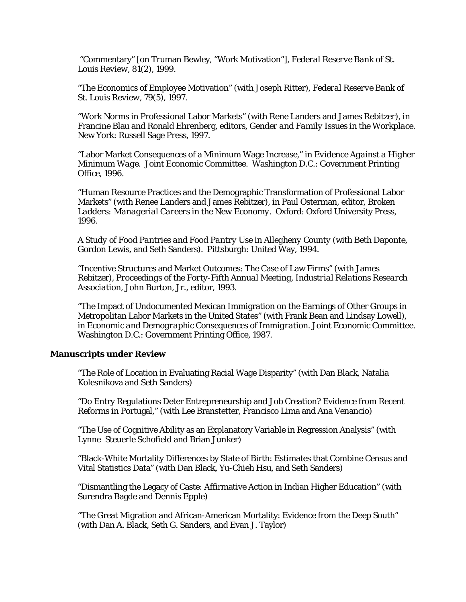"Commentary" [on Truman Bewley, "Work Motivation"], *Federal Reserve Bank of St. Louis Review*, 81(2), 1999.

"The Economics of Employee Motivation" (with Joseph Ritter), *Federal Reserve Bank of St. Louis Review*, 79(5), 1997.

"Work Norms in Professional Labor Markets" (with Rene Landers and James Rebitzer), in Francine Blau and Ronald Ehrenberg, editors, *Gender and Family Issues in the Workplace*. New York: Russell Sage Press, 1997.

"Labor Market Consequences of a Minimum Wage Increase," in *Evidence Against a Higher Minimum Wage.* Joint Economic Committee. Washington D.C.: Government Printing Office, 1996.

"Human Resource Practices and the Demographic Transformation of Professional Labor Markets" (with Renee Landers and James Rebitzer), in Paul Osterman, editor*, Broken Ladders: Managerial Careers in the New Economy*. Oxford: Oxford University Press, 1996.

*A Study of Food Pantries and Food Pantry Use in Allegheny County* (with Beth Daponte, Gordon Lewis, and Seth Sanders). Pittsburgh: United Way, 1994.

"Incentive Structures and Market Outcomes: The Case of Law Firms" (with James Rebitzer*), Proceedings of the Forty-Fifth Annual Meeting, Industrial Relations Research Association*, John Burton, Jr., editor, 1993.

"The Impact of Undocumented Mexican Immigration on the Earnings of Other Groups in Metropolitan Labor Markets in the United States" (with Frank Bean and Lindsay Lowell), in *Economic and Demographic Consequences of Immigration.* Joint Economic Committee. Washington D.C.: Government Printing Office, 1987.

#### **Manuscripts under Review**

 "The Role of Location in Evaluating Racial Wage Disparity" (with Dan Black, Natalia Kolesnikova and Seth Sanders)

 "Do Entry Regulations Deter Entrepreneurship and Job Creation? Evidence from Recent Reforms in Portugal," (with Lee Branstetter, Francisco Lima and Ana Venancio)

 "The Use of Cognitive Ability as an Explanatory Variable in Regression Analysis" (with Lynne Steuerle Schofield and Brian Junker)

 "Black-White Mortality Differences by State of Birth: Estimates that Combine Census and Vital Statistics Data" (with Dan Black, Yu-Chieh Hsu, and Seth Sanders)

 "Dismantling the Legacy of Caste: Affirmative Action in Indian Higher Education" (with Surendra Bagde and Dennis Epple)

 "The Great Migration and African-American Mortality: Evidence from the Deep South" (with Dan A. Black, Seth G. Sanders, and Evan J. Taylor)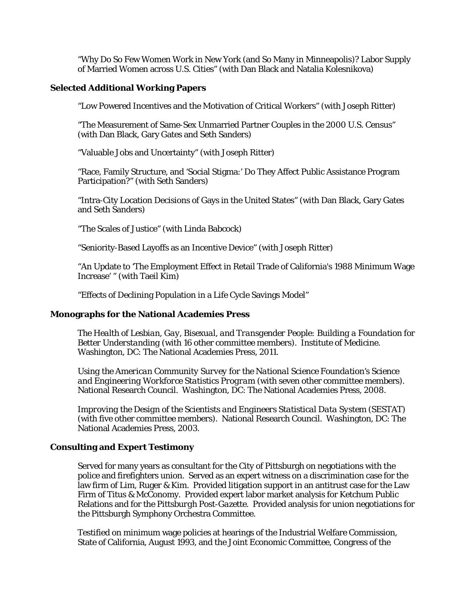"Why Do So Few Women Work in New York (and So Many in Minneapolis)? Labor Supply of Married Women across U.S. Cities" (with Dan Black and Natalia Kolesnikova)

# **Selected Additional Working Papers**

"Low Powered Incentives and the Motivation of Critical Workers" (with Joseph Ritter)

 "The Measurement of Same-Sex Unmarried Partner Couples in the 2000 U.S. Census" (with Dan Black, Gary Gates and Seth Sanders)

"Valuable Jobs and Uncertainty" (with Joseph Ritter)

"Race, Family Structure, and 'Social Stigma:' Do They Affect Public Assistance Program Participation?" (with Seth Sanders)

"Intra-City Location Decisions of Gays in the United States" (with Dan Black, Gary Gates and Seth Sanders)

"The Scales of Justice" (with Linda Babcock)

"Seniority-Based Layoffs as an Incentive Device" (with Joseph Ritter)

"An Update to 'The Employment Effect in Retail Trade of California's 1988 Minimum Wage Increase' " (with Taeil Kim)

"Effects of Declining Population in a Life Cycle Savings Model"

# **Monographs for the National Academies Press**

*The Health of Lesbian, Gay, Bisexual, and Transgender People: Building a Foundation for Better Understanding* (with 16 other committee members). Institute of Medicine. Washington, DC: The National Academies Press, 2011.

*Using the American Community Survey for the National Science Foundation's Science and Engineering Workforce Statistics Program* (with seven other committee members). National Research Council. Washington, DC: The National Academies Press, 2008.

*Improving the Design of the Scientists and Engineers Statistical Data System (SESTAT)*  (with five other committee members). National Research Council. Washington, DC: The National Academies Press, 2003.

# **Consulting and Expert Testimony**

Served for many years as consultant for the City of Pittsburgh on negotiations with the police and firefighters union. Served as an expert witness on a discrimination case for the law firm of Lim, Ruger & Kim. Provided litigation support in an antitrust case for the Law Firm of Titus & McConomy. Provided expert labor market analysis for Ketchum Public Relations and for the *Pittsburgh Post-Gazette*. Provided analysis for union negotiations for the Pittsburgh Symphony Orchestra Committee.

Testified on minimum wage policies at hearings of the Industrial Welfare Commission, State of California, August 1993, and the Joint Economic Committee, Congress of the